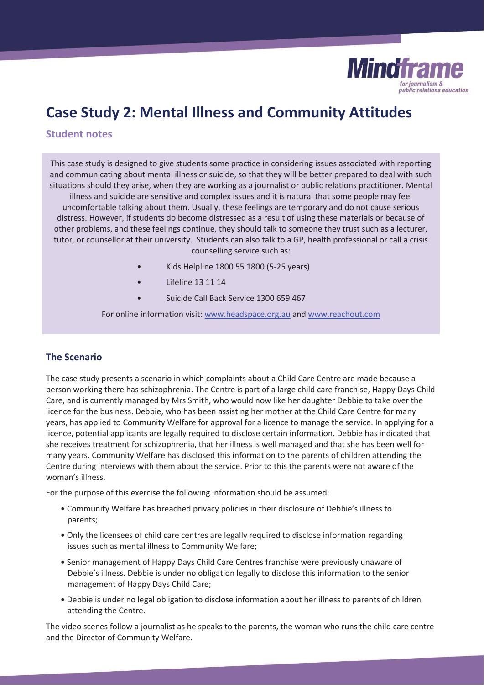

# **Case Study 2: Mental Illness and Community Attitudes**

## **Student notes**

This case study is designed to give students some practice in considering issues associated with reporting and communicating about mental illness or suicide, so that they will be better prepared to deal with such situations should they arise, when they are working as a journalist or public relations practitioner. Mental illness and suicide are sensitive and complex issues and it is natural that some people may feel uncomfortable talking about them. Usually, these feelings are temporary and do not cause serious distress. However, if students do become distressed as a result of using these materials or because of other problems, and these feelings continue, they should talk to someone they trust such as a lecturer, tutor, or counsellor at their university. Students can also talk to a GP, health professional or call a crisis

- counselling service such as:
- Kids Helpline 1800 55 1800 (5-25 years)
- Lifeline 13 11 14
- Suicide Call Back Service 1300 659 467

For online information visit: www.headspace.org.au and www.reachout.com

## **The Scenario**

The case study presents a scenario in which complaints about a Child Care Centre are made because a person working there has schizophrenia. The Centre is part of a large child care franchise, Happy Days Child Care, and is currently managed by Mrs Smith, who would now like her daughter Debbie to take over the licence for the business. Debbie, who has been assisting her mother at the Child Care Centre for many years, has applied to Community Welfare for approval for a licence to manage the service. In applying for a licence, potential applicants are legally required to disclose certain information. Debbie has indicated that she receives treatment for schizophrenia, that her illness is well managed and that she has been well for many years. Community Welfare has disclosed this information to the parents of children attending the Centre during interviews with them about the service. Prior to this the parents were not aware of the woman's illness.

For the purpose of this exercise the following information should be assumed:

- Community Welfare has breached privacy policies in their disclosure of Debbie's illness to parents;
- Only the licensees of child care centres are legally required to disclose information regarding issues such as mental illness to Community Welfare;
- Senior management of Happy Days Child Care Centres franchise were previously unaware of Debbie's illness. Debbie is under no obligation legally to disclose this information to the senior management of Happy Days Child Care;
- Debbie is under no legal obligation to disclose information about her illness to parents of children attending the Centre.

The video scenes follow a journalist as he speaks to the parents, the woman who runs the child care centre and the Director of Community Welfare.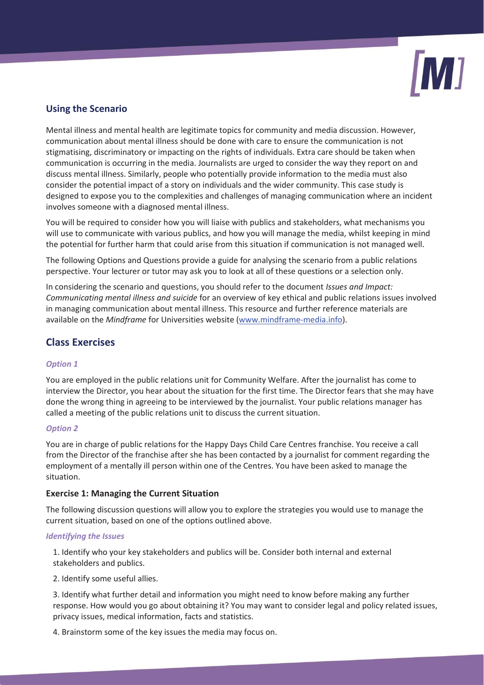

# **Using the Scenario**

Mental illness and mental health are legitimate topics for community and media discussion. However, communication about mental illness should be done with care to ensure the communication is not stigmatising, discriminatory or impacting on the rights of individuals. Extra care should be taken when communication is occurring in the media. Journalists are urged to consider the way they report on and discuss mental illness. Similarly, people who potentially provide information to the media must also consider the potential impact of a story on individuals and the wider community. This case study is designed to expose you to the complexities and challenges of managing communication where an incident involves someone with a diagnosed mental illness.

You will be required to consider how you will liaise with publics and stakeholders, what mechanisms you will use to communicate with various publics, and how you will manage the media, whilst keeping in mind the potential for further harm that could arise from this situation if communication is not managed well.

The following Options and Questions provide a guide for analysing the scenario from a public relations perspective. Your lecturer or tutor may ask you to look at all of these questions or a selection only.

In considering the scenario and questions, you should refer to the document *Issues and Impact: Communicating mental illness and suicide* for an overview of key ethical and public relations issues involved in managing communication about mental illness. This resource and further reference materials are available on the *Mindframe* for Universities website (www.mindframe-media.info).

# **Class Exercises**

## *Option 1*

You are employed in the public relations unit for Community Welfare. After the journalist has come to interview the Director, you hear about the situation for the first time. The Director fears that she may have done the wrong thing in agreeing to be interviewed by the journalist. Your public relations manager has called a meeting of the public relations unit to discuss the current situation.

#### *Option 2*

You are in charge of public relations for the Happy Days Child Care Centres franchise. You receive a call from the Director of the franchise after she has been contacted by a journalist for comment regarding the employment of a mentally ill person within one of the Centres. You have been asked to manage the situation.

#### **Exercise 1: Managing the Current Situation**

The following discussion questions will allow you to explore the strategies you would use to manage the current situation, based on one of the options outlined above.

#### *Identifying the Issues*

1. Identify who your key stakeholders and publics will be. Consider both internal and external stakeholders and publics.

2. Identify some useful allies.

3. Identify what further detail and information you might need to know before making any further response. How would you go about obtaining it? You may want to consider legal and policy related issues, privacy issues, medical information, facts and statistics.

4. Brainstorm some of the key issues the media may focus on.